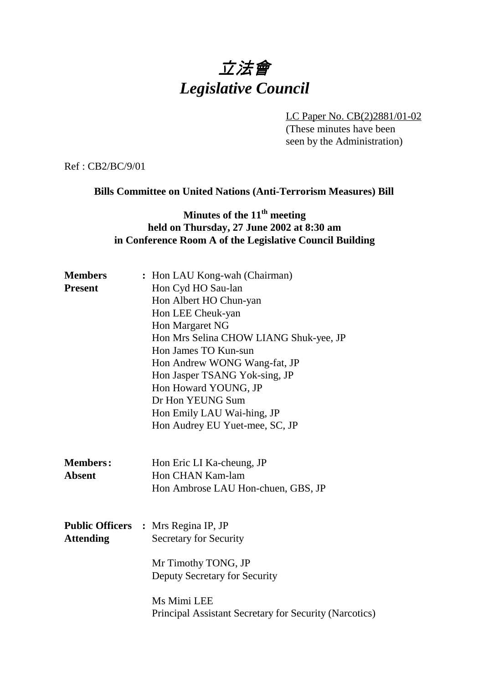# 立法會 *Legislative Council*

LC Paper No. CB(2)2881/01-02 (These minutes have been seen by the Administration)

Ref : CB2/BC/9/01

#### **Bills Committee on United Nations (Anti-Terrorism Measures) Bill**

## **Minutes of the 11<sup>th</sup> meeting held on Thursday, 27 June 2002 at 8:30 am in Conference Room A of the Legislative Council Building**

| <b>Members</b>                   | : Hon LAU Kong-wah (Chairman)                                                       |
|----------------------------------|-------------------------------------------------------------------------------------|
| <b>Present</b>                   | Hon Cyd HO Sau-lan                                                                  |
|                                  | Hon Albert HO Chun-yan                                                              |
|                                  | Hon LEE Cheuk-yan                                                                   |
|                                  | Hon Margaret NG                                                                     |
|                                  | Hon Mrs Selina CHOW LIANG Shuk-yee, JP                                              |
|                                  | Hon James TO Kun-sun                                                                |
|                                  | Hon Andrew WONG Wang-fat, JP                                                        |
|                                  | Hon Jasper TSANG Yok-sing, JP                                                       |
|                                  | Hon Howard YOUNG, JP                                                                |
|                                  | Dr Hon YEUNG Sum                                                                    |
|                                  | Hon Emily LAU Wai-hing, JP                                                          |
|                                  | Hon Audrey EU Yuet-mee, SC, JP                                                      |
| <b>Members:</b><br><b>Absent</b> | Hon Eric LI Ka-cheung, JP<br>Hon CHAN Kam-lam<br>Hon Ambrose LAU Hon-chuen, GBS, JP |
| <b>Attending</b>                 | <b>Public Officers : Mrs Regina IP, JP</b><br><b>Secretary for Security</b>         |
|                                  | Mr Timothy TONG, JP<br>Deputy Secretary for Security                                |
|                                  | Ms Mimi LEE<br>Principal Assistant Secretary for Security (Narcotics)               |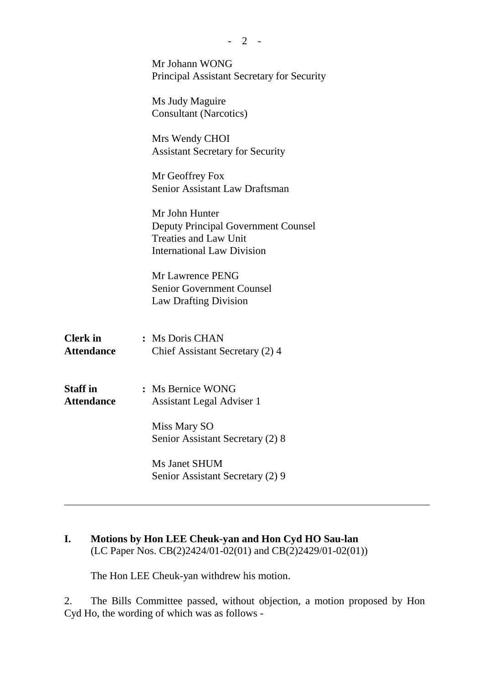|                                      | Mr Johann WONG<br>Principal Assistant Secretary for Security                                                                      |
|--------------------------------------|-----------------------------------------------------------------------------------------------------------------------------------|
|                                      | Ms Judy Maguire<br><b>Consultant (Narcotics)</b>                                                                                  |
|                                      | Mrs Wendy CHOI<br><b>Assistant Secretary for Security</b>                                                                         |
|                                      | Mr Geoffrey Fox<br>Senior Assistant Law Draftsman                                                                                 |
|                                      | Mr John Hunter<br><b>Deputy Principal Government Counsel</b><br><b>Treaties and Law Unit</b><br><b>International Law Division</b> |
|                                      | Mr Lawrence PENG<br><b>Senior Government Counsel</b><br><b>Law Drafting Division</b>                                              |
| <b>Clerk</b> in<br><b>Attendance</b> | : Ms Doris CHAN<br>Chief Assistant Secretary (2) 4                                                                                |
| <b>Staff in</b><br><b>Attendance</b> | : Ms Bernice WONG<br><b>Assistant Legal Adviser 1</b>                                                                             |
|                                      | Miss Mary SO<br>Senior Assistant Secretary (2) 8                                                                                  |
|                                      | Ms Janet SHUM<br>Senior Assistant Secretary (2) 9                                                                                 |
|                                      |                                                                                                                                   |

## **I. Motions by Hon LEE Cheuk-yan and Hon Cyd HO Sau-lan** (LC Paper Nos. CB(2)2424/01-02(01) and CB(2)2429/01-02(01))

The Hon LEE Cheuk-yan withdrew his motion.

2. The Bills Committee passed, without objection, a motion proposed by Hon Cyd Ho, the wording of which was as follows -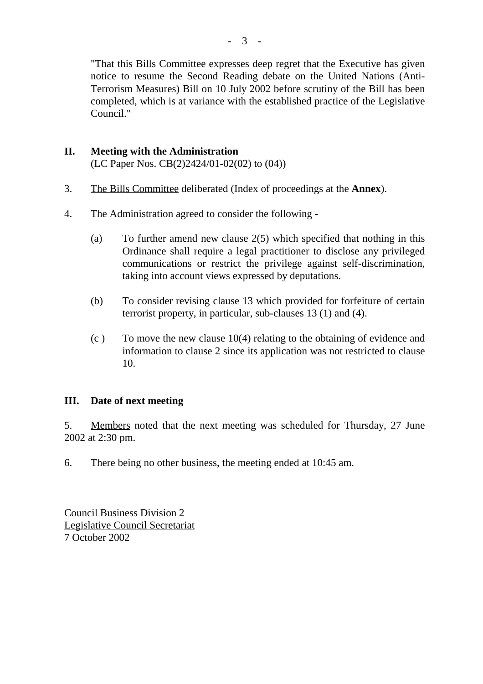"That this Bills Committee expresses deep regret that the Executive has given notice to resume the Second Reading debate on the United Nations (Anti-Terrorism Measures) Bill on 10 July 2002 before scrutiny of the Bill has been completed, which is at variance with the established practice of the Legislative Council."

#### **II. Meeting with the Administration** (LC Paper Nos. CB(2)2424/01-02(02) to (04))

- 3. The Bills Committee deliberated (Index of proceedings at the **Annex**).
- 4. The Administration agreed to consider the following
	- (a) To further amend new clause 2(5) which specified that nothing in this Ordinance shall require a legal practitioner to disclose any privileged communications or restrict the privilege against self-discrimination, taking into account views expressed by deputations.
	- (b) To consider revising clause 13 which provided for forfeiture of certain terrorist property, in particular, sub-clauses 13 (1) and (4).
	- $(c)$  To move the new clause 10(4) relating to the obtaining of evidence and information to clause 2 since its application was not restricted to clause 10.

## **III. Date of next meeting**

5. Members noted that the next meeting was scheduled for Thursday, 27 June 2002 at 2:30 pm.

6. There being no other business, the meeting ended at 10:45 am.

Council Business Division 2 Legislative Council Secretariat 7 October 2002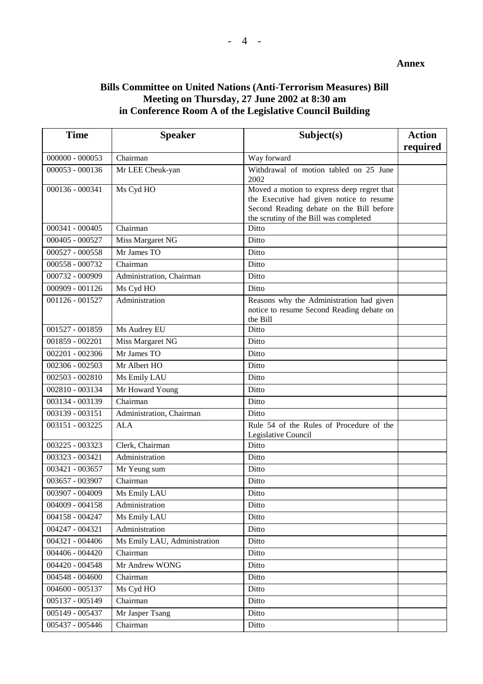### **Bills Committee on United Nations (Anti-Terrorism Measures) Bill Meeting on Thursday, 27 June 2002 at 8:30 am in Conference Room A of the Legislative Council Building**

| <b>Time</b>       | <b>Speaker</b>               | Subject(s)                                                                                                                                                                   | <b>Action</b><br>required |
|-------------------|------------------------------|------------------------------------------------------------------------------------------------------------------------------------------------------------------------------|---------------------------|
| $000000 - 000053$ | Chairman                     | Way forward                                                                                                                                                                  |                           |
| 000053 - 000136   | Mr LEE Cheuk-yan             | Withdrawal of motion tabled on 25 June<br>2002                                                                                                                               |                           |
| 000136 - 000341   | Ms Cyd HO                    | Moved a motion to express deep regret that<br>the Executive had given notice to resume<br>Second Reading debate on the Bill before<br>the scrutiny of the Bill was completed |                           |
| 000341 - 000405   | Chairman                     | Ditto                                                                                                                                                                        |                           |
| 000405 - 000527   | Miss Margaret NG             | Ditto                                                                                                                                                                        |                           |
| 000527 - 000558   | Mr James TO                  | Ditto                                                                                                                                                                        |                           |
| 000558 - 000732   | Chairman                     | Ditto                                                                                                                                                                        |                           |
| 000732 - 000909   | Administration, Chairman     | Ditto                                                                                                                                                                        |                           |
| 000909 - 001126   | Ms Cyd HO                    | Ditto                                                                                                                                                                        |                           |
| 001126 - 001527   | Administration               | Reasons why the Administration had given<br>notice to resume Second Reading debate on<br>the Bill                                                                            |                           |
| 001527 - 001859   | Ms Audrey EU                 | Ditto                                                                                                                                                                        |                           |
| 001859 - 002201   | Miss Margaret NG             | Ditto                                                                                                                                                                        |                           |
| 002201 - 002306   | Mr James TO                  | Ditto                                                                                                                                                                        |                           |
| 002306 - 002503   | Mr Albert HO                 | Ditto                                                                                                                                                                        |                           |
| 002503 - 002810   | Ms Emily LAU                 | Ditto                                                                                                                                                                        |                           |
| 002810 - 003134   | Mr Howard Young              | Ditto                                                                                                                                                                        |                           |
| 003134 - 003139   | Chairman                     | Ditto                                                                                                                                                                        |                           |
| 003139 - 003151   | Administration, Chairman     | Ditto                                                                                                                                                                        |                           |
| 003151 - 003225   | <b>ALA</b>                   | Rule 54 of the Rules of Procedure of the<br>Legislative Council                                                                                                              |                           |
| 003225 - 003323   | Clerk, Chairman              | Ditto                                                                                                                                                                        |                           |
| 003323 - 003421   | Administration               | Ditto                                                                                                                                                                        |                           |
| 003421 - 003657   | Mr Yeung sum                 | Ditto                                                                                                                                                                        |                           |
| 003657 - 003907   | Chairman                     | Ditto                                                                                                                                                                        |                           |
| 003907 - 004009   | Ms Emily LAU                 | Ditto                                                                                                                                                                        |                           |
| 004009 - 004158   | Administration               | Ditto                                                                                                                                                                        |                           |
| 004158 - 004247   | Ms Emily LAU                 | Ditto                                                                                                                                                                        |                           |
| 004247 - 004321   | Administration               | Ditto                                                                                                                                                                        |                           |
| 004321 - 004406   | Ms Emily LAU, Administration | Ditto                                                                                                                                                                        |                           |
| 004406 - 004420   | Chairman                     | Ditto                                                                                                                                                                        |                           |
| 004420 - 004548   | Mr Andrew WONG               | Ditto                                                                                                                                                                        |                           |
| 004548 - 004600   | Chairman                     | Ditto                                                                                                                                                                        |                           |
| 004600 - 005137   | Ms Cyd HO                    | Ditto                                                                                                                                                                        |                           |
| 005137 - 005149   | Chairman                     | Ditto                                                                                                                                                                        |                           |
| 005149 - 005437   | Mr Jasper Tsang              | Ditto                                                                                                                                                                        |                           |
| 005437 - 005446   | Chairman                     | Ditto                                                                                                                                                                        |                           |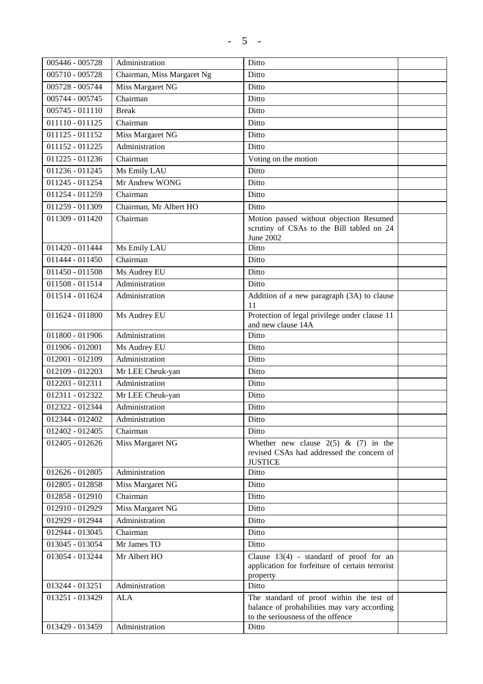| 005446 - 005728   | Administration             | Ditto                                                                                   |  |
|-------------------|----------------------------|-----------------------------------------------------------------------------------------|--|
| 005710 - 005728   | Chairman, Miss Margaret Ng | Ditto                                                                                   |  |
| 005728 - 005744   | Miss Margaret NG           | Ditto                                                                                   |  |
| $005744 - 005745$ | Chairman                   | Ditto                                                                                   |  |
| 005745 - 011110   | <b>Break</b>               | Ditto                                                                                   |  |
| 011110 - 011125   | Chairman                   | Ditto                                                                                   |  |
| 011125 - 011152   | Miss Margaret NG           | Ditto                                                                                   |  |
| 011152 - 011225   | Administration             | Ditto                                                                                   |  |
| 011225 - 011236   | Chairman                   | Voting on the motion                                                                    |  |
| 011236 - 011245   | Ms Emily LAU               | Ditto                                                                                   |  |
| 011245 - 011254   | Mr Andrew WONG             | Ditto                                                                                   |  |
| 011254 - 011259   | Chairman                   | Ditto                                                                                   |  |
| $011259 - 011309$ | Chairman, Mr Albert HO     | Ditto                                                                                   |  |
| 011309 - 011420   | Chairman                   | Motion passed without objection Resumed                                                 |  |
|                   |                            | scrutiny of CSAs to the Bill tabled on 24                                               |  |
| 011420 - 011444   |                            | June 2002<br>Ditto                                                                      |  |
| 011444 - 011450   | Ms Emily LAU<br>Chairman   | Ditto                                                                                   |  |
| 011450 - 011508   | Ms Audrey EU               | Ditto                                                                                   |  |
| 011508 - 011514   | Administration             | Ditto                                                                                   |  |
| 011514 - 011624   | Administration             | Addition of a new paragraph (3A) to clause                                              |  |
|                   |                            | 11                                                                                      |  |
| 011624 - 011800   | Ms Audrey EU               | Protection of legal privilege under clause 11                                           |  |
|                   |                            | and new clause 14A                                                                      |  |
| 011800 - 011906   | Administration             | Ditto                                                                                   |  |
| 011906 - 012001   | Ms Audrey EU               | Ditto                                                                                   |  |
| 012001 - 012109   | Administration             | Ditto                                                                                   |  |
| 012109 - 012203   | Mr LEE Cheuk-yan           | Ditto                                                                                   |  |
| 012203 - 012311   | Administration             | Ditto                                                                                   |  |
| 012311 - 012322   | Mr LEE Cheuk-yan           | Ditto                                                                                   |  |
| 012322 - 012344   | Administration             | Ditto                                                                                   |  |
| 012344 - 012402   | Administration             | Ditto                                                                                   |  |
| 012402 - 012405   | Chairman                   | Ditto                                                                                   |  |
| 012405 - 012626   | Miss Margaret NG           | Whether new clause $2(5)$ & (7) in the                                                  |  |
|                   |                            | revised CSAs had addressed the concern of<br><b>JUSTICE</b>                             |  |
| 012626 - 012805   | Administration             | Ditto                                                                                   |  |
| 012805 - 012858   | Miss Margaret NG           | Ditto                                                                                   |  |
| 012858 - 012910   | Chairman                   | Ditto                                                                                   |  |
| 012910 - 012929   | Miss Margaret NG           | Ditto                                                                                   |  |
| 012929 - 012944   | Administration             | Ditto                                                                                   |  |
| 012944 - 013045   | Chairman                   | Ditto                                                                                   |  |
| 013045 - 013054   | Mr James TO                | Ditto                                                                                   |  |
| 013054 - 013244   | Mr Albert HO               | Clause $13(4)$ - standard of proof for an                                               |  |
|                   |                            | application for forfeiture of certain terrorist                                         |  |
|                   |                            | property                                                                                |  |
| 013244 - 013251   | Administration             | Ditto                                                                                   |  |
| 013251 - 013429   | <b>ALA</b>                 | The standard of proof within the test of<br>balance of probabilities may vary according |  |
|                   |                            | to the seriousness of the offence                                                       |  |
| 013429 - 013459   | Administration             | Ditto                                                                                   |  |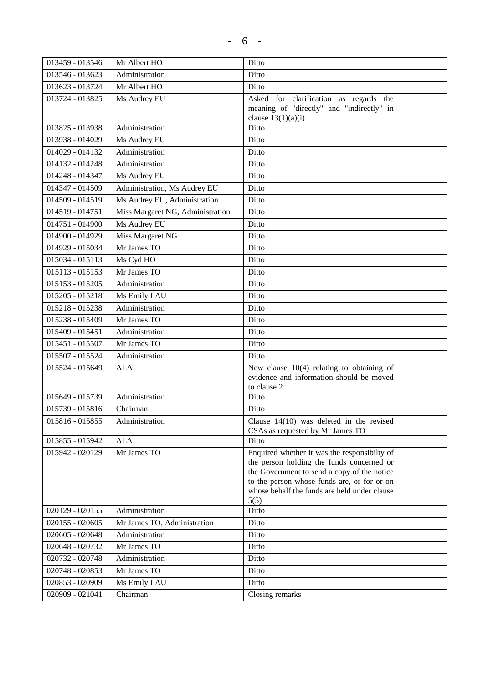| 013459 - 013546   | Mr Albert HO                     | Ditto                                                                                       |  |
|-------------------|----------------------------------|---------------------------------------------------------------------------------------------|--|
| 013546 - 013623   | Administration                   | Ditto                                                                                       |  |
| 013623 - 013724   | Mr Albert HO                     | Ditto                                                                                       |  |
| 013724 - 013825   | Ms Audrey EU                     | Asked for clarification as regards the                                                      |  |
|                   |                                  | meaning of "directly" and "indirectly" in                                                   |  |
| 013825 - 013938   |                                  | clause $13(1)(a)(i)$<br>Ditto                                                               |  |
|                   | Administration                   |                                                                                             |  |
| 013938 - 014029   | Ms Audrey EU                     | Ditto                                                                                       |  |
| 014029 - 014132   | Administration                   | Ditto                                                                                       |  |
| 014132 - 014248   | Administration                   | Ditto                                                                                       |  |
| 014248 - 014347   | Ms Audrey EU                     | Ditto                                                                                       |  |
| 014347 - 014509   | Administration, Ms Audrey EU     | Ditto                                                                                       |  |
| 014509 - 014519   | Ms Audrey EU, Administration     | Ditto                                                                                       |  |
| 014519 - 014751   | Miss Margaret NG, Administration | Ditto                                                                                       |  |
| 014751 - 014900   | Ms Audrey EU                     | Ditto                                                                                       |  |
| 014900 - 014929   | Miss Margaret NG                 | Ditto                                                                                       |  |
| 014929 - 015034   | Mr James TO                      | Ditto                                                                                       |  |
| 015034 - 015113   | Ms Cyd HO                        | Ditto                                                                                       |  |
| 015113 - 015153   | Mr James TO                      | Ditto                                                                                       |  |
| 015153 - 015205   | Administration                   | Ditto                                                                                       |  |
| 015205 - 015218   | Ms Emily LAU                     | Ditto                                                                                       |  |
| 015218 - 015238   | Administration                   | Ditto                                                                                       |  |
| 015238 - 015409   | Mr James TO                      | Ditto                                                                                       |  |
| 015409 - 015451   | Administration                   | Ditto                                                                                       |  |
| 015451 - 015507   | Mr James TO                      | Ditto                                                                                       |  |
| 015507 - 015524   | Administration                   | Ditto                                                                                       |  |
| 015524 - 015649   | <b>ALA</b>                       | New clause $10(4)$ relating to obtaining of<br>evidence and information should be moved     |  |
|                   |                                  | to clause 2                                                                                 |  |
| 015649 - 015739   | Administration                   | Ditto                                                                                       |  |
| 015739 - 015816   | Chairman                         | Ditto                                                                                       |  |
| 015816 - 015855   | Administration                   | Clause $14(10)$ was deleted in the revised<br>CSAs as requested by Mr James TO              |  |
| 015855 - 015942   | <b>ALA</b>                       | Ditto                                                                                       |  |
| 015942 - 020129   | Mr James TO                      | Enquired whether it was the responsibilty of                                                |  |
|                   |                                  | the person holding the funds concerned or                                                   |  |
|                   |                                  | the Government to send a copy of the notice                                                 |  |
|                   |                                  | to the person whose funds are, or for or on<br>whose behalf the funds are held under clause |  |
|                   |                                  | 5(5)                                                                                        |  |
| 020129 - 020155   | Administration                   | Ditto                                                                                       |  |
| $020155 - 020605$ | Mr James TO, Administration      | Ditto                                                                                       |  |
| 020605 - 020648   | Administration                   | Ditto                                                                                       |  |
| 020648 - 020732   | Mr James TO                      | Ditto                                                                                       |  |
| 020732 - 020748   | Administration                   | Ditto                                                                                       |  |
| 020748 - 020853   | Mr James TO                      | Ditto                                                                                       |  |
| 020853 - 020909   | Ms Emily LAU                     | Ditto                                                                                       |  |
| 020909 - 021041   | Chairman                         | Closing remarks                                                                             |  |
|                   |                                  |                                                                                             |  |